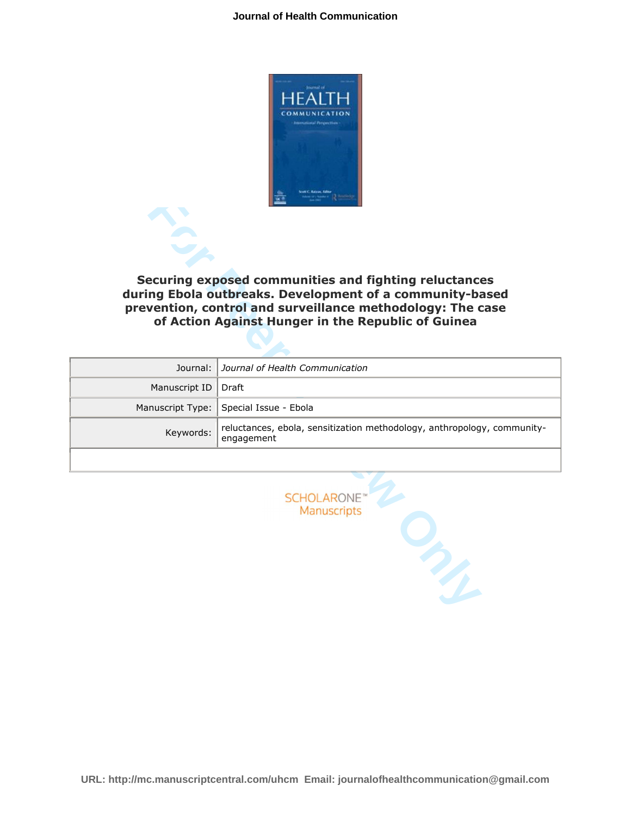

| Securing exposed communities and fighting reluctances<br>during Ebola outbreaks. Development of a community-based<br>prevention, control and surveillance methodology: The case<br>of Action Against Hunger in the Republic of Guinea |                                                                                       |
|---------------------------------------------------------------------------------------------------------------------------------------------------------------------------------------------------------------------------------------|---------------------------------------------------------------------------------------|
| Journal:                                                                                                                                                                                                                              | Journal of Health Communication                                                       |
| Manuscript ID                                                                                                                                                                                                                         | Draft                                                                                 |
| Manuscript Type:                                                                                                                                                                                                                      | Special Issue - Ebola                                                                 |
| Keywords:                                                                                                                                                                                                                             | reluctances, ebola, sensitization methodology, anthropology, community-<br>engagement |
|                                                                                                                                                                                                                                       |                                                                                       |
| <b>SCHOLARONE</b> "<br>Manuscripts                                                                                                                                                                                                    |                                                                                       |

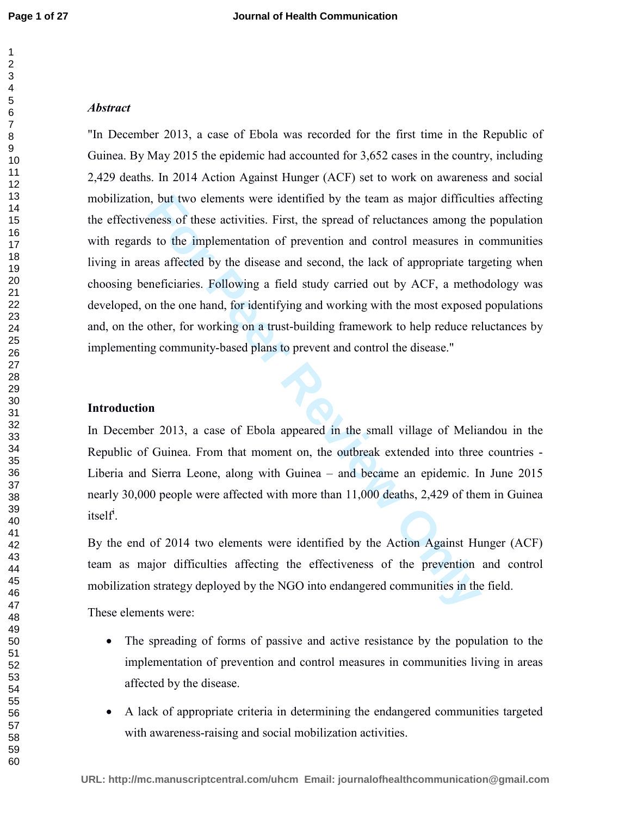# *Abstract*

**Follow The Example 10** solution of products are identified by the team as major difficult<br>
reasons of these activities. First, the spread of reluctances among the<br>
sto the implementation of prevention and control measures "In December 2013, a case of Ebola was recorded for the first time in the Republic of Guinea. By May 2015 the epidemic had accounted for 3,652 cases in the country, including 2,429 deaths. In 2014 Action Against Hunger (ACF) set to work on awareness and social mobilization, but two elements were identified by the team as major difficulties affecting the effectiveness of these activities. First, the spread of reluctances among the population with regards to the implementation of prevention and control measures in communities living in areas affected by the disease and second, the lack of appropriate targeting when choosing beneficiaries. Following a field study carried out by ACF, a methodology was developed, on the one hand, for identifying and working with the most exposed populations and, on the other, for working on a trust-building framework to help reduce reluctances by implementing community-based plans to prevent and control the disease."

## **Introduction**

In December 2013, a case of Ebola appeared in the small village of Meliandou in the Republic of Guinea. From that moment on, the outbreak extended into three countries - Liberia and Sierra Leone, along with Guinea – and became an epidemic. In June 2015 nearly 30,000 people were affected with more than 11,000 deaths, 2,429 of them in Guinea itself<sup>i</sup>.

By the end of 2014 two elements were identified by the Action Against Hunger (ACF) team as major difficulties affecting the effectiveness of the prevention and control mobilization strategy deployed by the NGO into endangered communities in the field.

These elements were:

- The spreading of forms of passive and active resistance by the population to the implementation of prevention and control measures in communities living in areas affected by the disease.
- A lack of appropriate criteria in determining the endangered communities targeted with awareness-raising and social mobilization activities.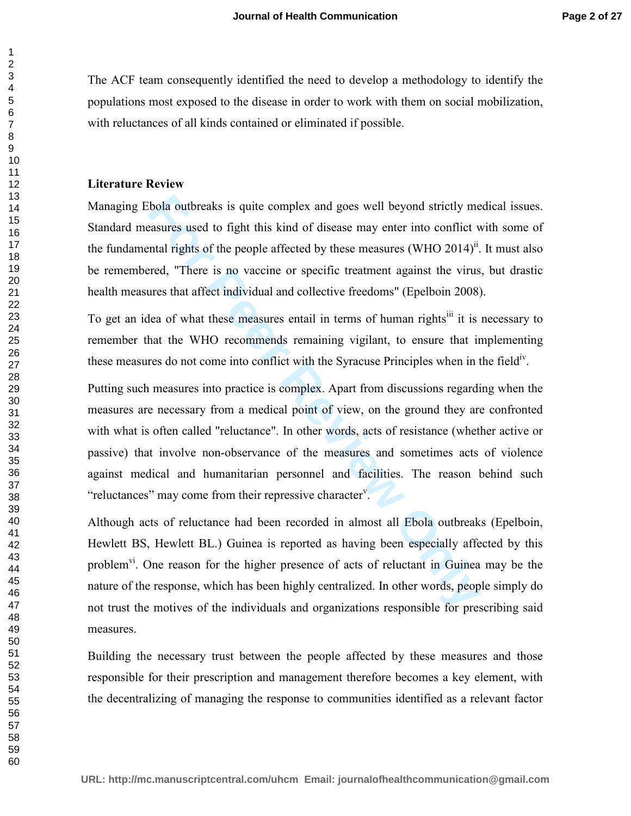The ACF team consequently identified the need to develop a methodology to identify the populations most exposed to the disease in order to work with them on social mobilization, with reluctances of all kinds contained or eliminated if possible.

### **Literature Review**

Managing Ebola outbreaks is quite complex and goes well beyond strictly medical issues. Standard measures used to fight this kind of disease may enter into conflict with some of the fundamental rights of the people affected by these measures (WHO 2014)<sup>ii</sup>. It must also be remembered, "There is no vaccine or specific treatment against the virus, but drastic health measures that affect individual and collective freedoms" (Epelboin 2008).

To get an idea of what these measures entail in terms of human rights<sup>iii</sup> it is necessary to remember that the WHO recommends remaining vigilant, to ensure that implementing these measures do not come into conflict with the Syracuse Principles when in the field<sup>iv</sup>.

bola outbreaks is quite complex and goes well beyond strictly me<br>assures used to fight this kind of disease may enter into conflict w<br>mtal rights of the people affected by these measures (WHO 2014)<sup>ii</sup>.<br>rerd, "There is no Putting such measures into practice is complex. Apart from discussions regarding when the measures are necessary from a medical point of view, on the ground they are confronted with what is often called "reluctance". In other words, acts of resistance (whether active or passive) that involve non-observance of the measures and sometimes acts of violence against medical and humanitarian personnel and facilities. The reason behind such "reluctances" may come from their repressive character".

Although acts of reluctance had been recorded in almost all Ebola outbreaks (Epelboin, Hewlett BS, Hewlett BL.) Guinea is reported as having been especially affected by this problem<sup>vi</sup>. One reason for the higher presence of acts of reluctant in Guinea may be the nature of the response, which has been highly centralized. In other words, people simply do not trust the motives of the individuals and organizations responsible for prescribing said measures.

Building the necessary trust between the people affected by these measures and those responsible for their prescription and management therefore becomes a key element, with the decentralizing of managing the response to communities identified as a relevant factor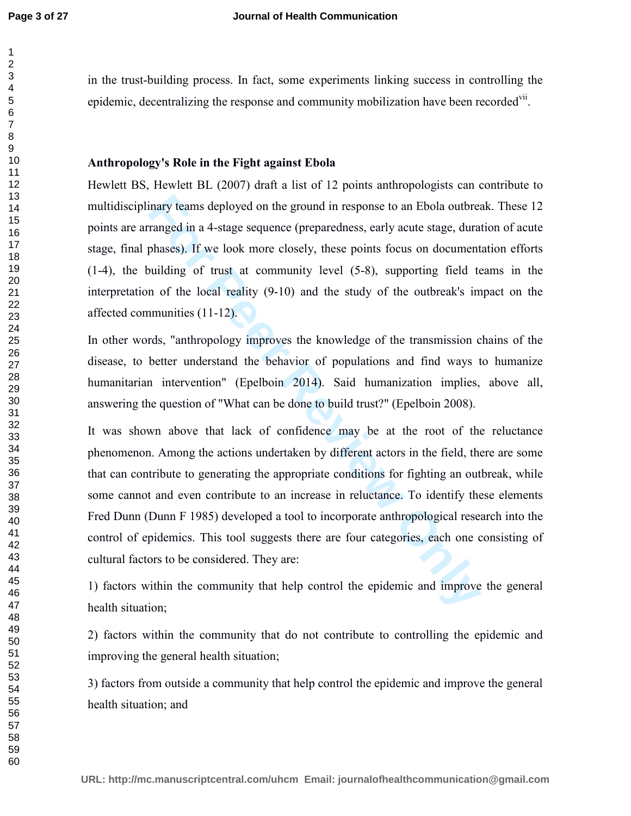in the trust-building process. In fact, some experiments linking success in controlling the epidemic, decentralizing the response and community mobilization have been recorded<sup>vii</sup>.

# **Anthropology's Role in the Fight against Ebola**

Hewlett BS, Hewlett BL (2007) draft a list of 12 points anthropologists can contribute to multidisciplinary teams deployed on the ground in response to an Ebola outbreak. These 12 points are arranged in a 4-stage sequence (preparedness, early acute stage, duration of acute stage, final phases). If we look more closely, these points focus on documentation efforts (1-4), the building of trust at community level (5-8), supporting field teams in the interpretation of the local reality (9-10) and the study of the outbreak's impact on the affected communities (11-12).

In other words, "anthropology improves the knowledge of the transmission chains of the disease, to better understand the behavior of populations and find ways to humanize humanitarian intervention" (Epelboin 2014). Said humanization implies, above all, answering the question of "What can be done to build trust?" (Epelboin 2008).

the provided on the ground in response to an Ebola outbrear<br> **Formaged** in a 4-stage sequence (preparedness, early acute stage, durar<br>
phascs). If we look more closely, these points focus on document<br>
phascs). If we look m It was shown above that lack of confidence may be at the root of the reluctance phenomenon. Among the actions undertaken by different actors in the field, there are some that can contribute to generating the appropriate conditions for fighting an outbreak, while some cannot and even contribute to an increase in reluctance. To identify these elements Fred Dunn (Dunn F 1985) developed a tool to incorporate anthropological research into the control of epidemics. This tool suggests there are four categories, each one consisting of cultural factors to be considered. They are:

1) factors within the community that help control the epidemic and improve the general health situation;

2) factors within the community that do not contribute to controlling the epidemic and improving the general health situation;

3) factors from outside a community that help control the epidemic and improve the general health situation; and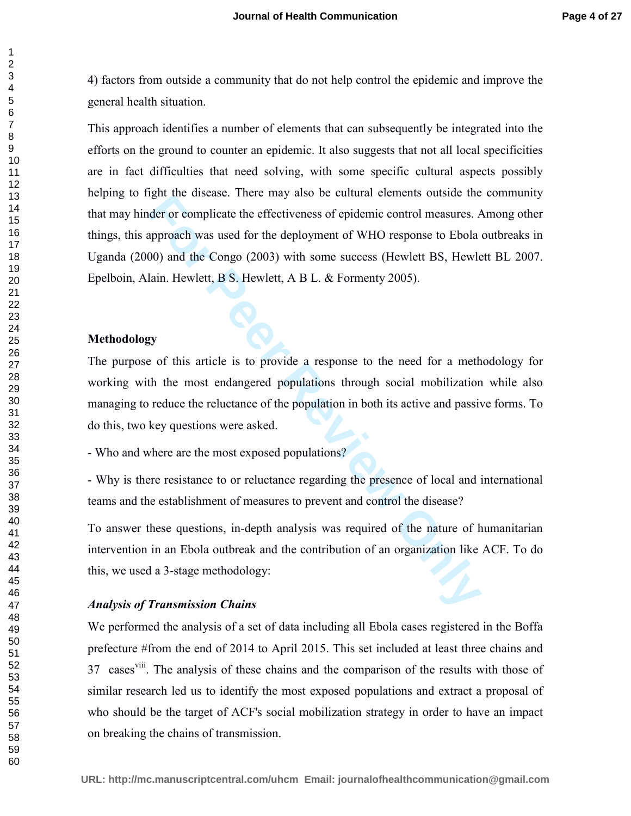4) factors from outside a community that do not help control the epidemic and improve the general health situation.

**Example 18** and the controllant of the nature of the nature of the also set of the deployment of WHO response to Ebola 2000 and the Congo (2003) with some success (Hewlett BS, Hewletin). Hewlett, B S. Hewlett, A B L. & Fo This approach identifies a number of elements that can subsequently be integrated into the efforts on the ground to counter an epidemic. It also suggests that not all local specificities are in fact difficulties that need solving, with some specific cultural aspects possibly helping to fight the disease. There may also be cultural elements outside the community that may hinder or complicate the effectiveness of epidemic control measures. Among other things, this approach was used for the deployment of WHO response to Ebola outbreaks in Uganda (2000) and the Congo (2003) with some success (Hewlett BS, Hewlett BL 2007. Epelboin, Alain. Hewlett, B S. Hewlett, A B L. & Formenty 2005).

### **Methodology**

The purpose of this article is to provide a response to the need for a methodology for working with the most endangered populations through social mobilization while also managing to reduce the reluctance of the population in both its active and passive forms. To do this, two key questions were asked.

- Who and where are the most exposed populations?

- Why is there resistance to or reluctance regarding the presence of local and international teams and the establishment of measures to prevent and control the disease?

To answer these questions, in-depth analysis was required of the nature of humanitarian intervention in an Ebola outbreak and the contribution of an organization like ACF. To do this, we used a 3-stage methodology:

#### *Analysis of Transmission Chains*

We performed the analysis of a set of data including all Ebola cases registered in the Boffa prefecture #from the end of 2014 to April 2015. This set included at least three chains and 37 cases<sup>viii</sup>. The analysis of these chains and the comparison of the results with those of similar research led us to identify the most exposed populations and extract a proposal of who should be the target of ACF's social mobilization strategy in order to have an impact on breaking the chains of transmission.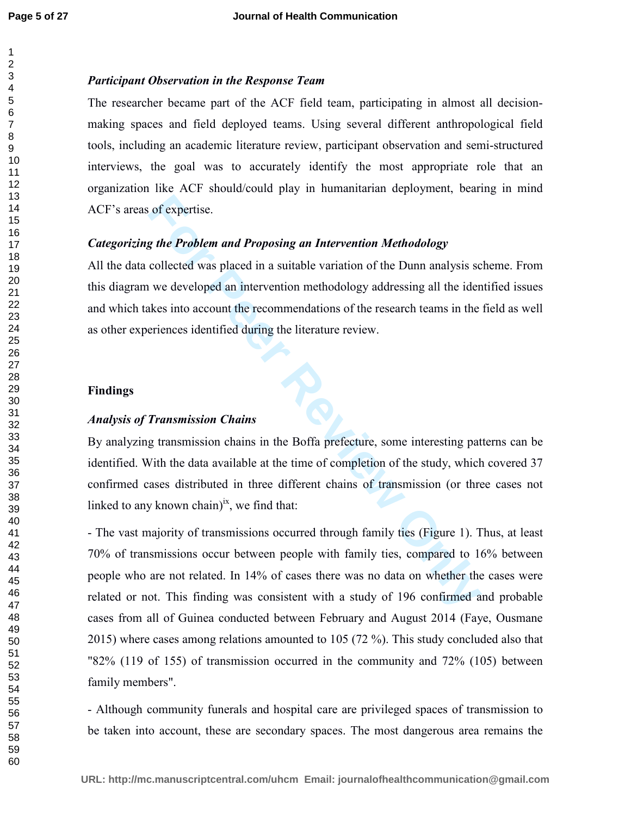### *Participant Observation in the Response Team*

The researcher became part of the ACF field team, participating in almost all decisionmaking spaces and field deployed teams. Using several different anthropological field tools, including an academic literature review, participant observation and semi-structured interviews, the goal was to accurately identify the most appropriate role that an organization like ACF should/could play in humanitarian deployment, bearing in mind ACF's areas of expertise.

## *Categorizing the Problem and Proposing an Intervention Methodology*

All the data collected was placed in a suitable variation of the Dunn analysis scheme. From this diagram we developed an intervention methodology addressing all the identified issues and which takes into account the recommendations of the research teams in the field as well as other experiences identified during the literature review.

# **Findings**

## *Analysis of Transmission Chains*

By analyzing transmission chains in the Boffa prefecture, some interesting patterns can be identified. With the data available at the time of completion of the study, which covered 37 confirmed cases distributed in three different chains of transmission (or three cases not linked to any known chain) $i^x$ , we find that:

of expertise.<br> **For Problem and Proposing an Intervention Methodology**<br>
collected was placed in a suitable variation of the Dunn analysis sc<br>
we developed an intervention methodology addressing all the ident<br>
kes into acco - The vast majority of transmissions occurred through family ties (Figure 1). Thus, at least 70% of transmissions occur between people with family ties, compared to 16% between people who are not related. In 14% of cases there was no data on whether the cases were related or not. This finding was consistent with a study of 196 confirmed and probable cases from all of Guinea conducted between February and August 2014 (Faye, Ousmane 2015) where cases among relations amounted to 105 (72 %). This study concluded also that "82% (119 of 155) of transmission occurred in the community and 72% (105) between family members".

- Although community funerals and hospital care are privileged spaces of transmission to be taken into account, these are secondary spaces. The most dangerous area remains the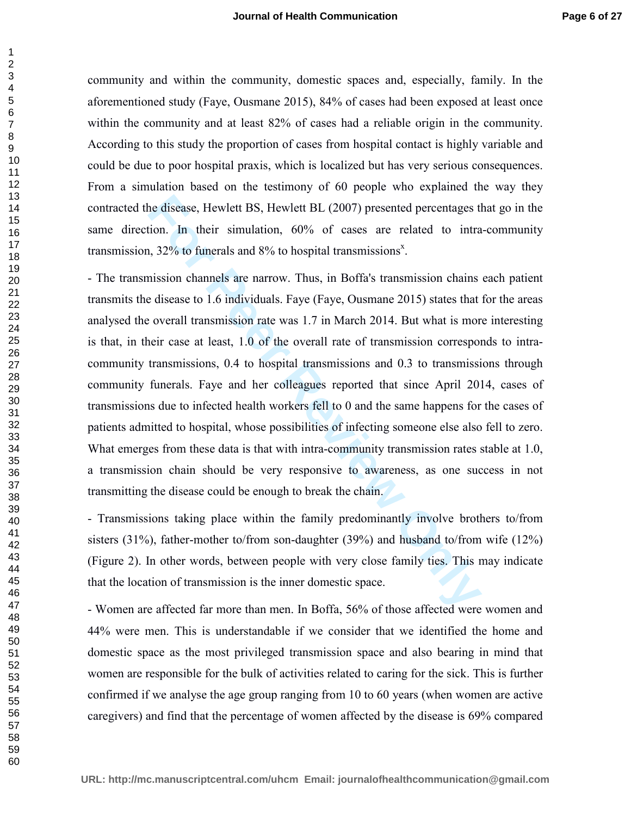community and within the community, domestic spaces and, especially, family. In the aforementioned study (Faye, Ousmane 2015), 84% of cases had been exposed at least once within the community and at least 82% of cases had a reliable origin in the community. According to this study the proportion of cases from hospital contact is highly variable and could be due to poor hospital praxis, which is localized but has very serious consequences. From a simulation based on the testimony of 60 people who explained the way they contracted the disease, Hewlett BS, Hewlett BL (2007) presented percentages that go in the same direction. In their simulation, 60% of cases are related to intra-community transmission,  $32\%$  to funerals and  $8\%$  to hospital transmissions<sup>x</sup>.

he disease, Hewlett BS, Hewlett BL (2007) presented percentages the<br>
tion. In their simulation, 60% of cases are related to intra<br>
1, 32% to funerals and 8% to hospital transmissions<sup>8</sup>.<br>
Inission channels are narrow. Thus - The transmission channels are narrow. Thus, in Boffa's transmission chains each patient transmits the disease to 1.6 individuals. Faye (Faye, Ousmane 2015) states that for the areas analysed the overall transmission rate was 1.7 in March 2014. But what is more interesting is that, in their case at least, 1.0 of the overall rate of transmission corresponds to intracommunity transmissions, 0.4 to hospital transmissions and 0.3 to transmissions through community funerals. Faye and her colleagues reported that since April 2014, cases of transmissions due to infected health workers fell to 0 and the same happens for the cases of patients admitted to hospital, whose possibilities of infecting someone else also fell to zero. What emerges from these data is that with intra-community transmission rates stable at 1.0, a transmission chain should be very responsive to awareness, as one success in not transmitting the disease could be enough to break the chain.

- Transmissions taking place within the family predominantly involve brothers to/from sisters (31%), father-mother to/from son-daughter (39%) and husband to/from wife (12%) (Figure 2). In other words, between people with very close family ties. This may indicate that the location of transmission is the inner domestic space.

- Women are affected far more than men. In Boffa, 56% of those affected were women and 44% were men. This is understandable if we consider that we identified the home and domestic space as the most privileged transmission space and also bearing in mind that women are responsible for the bulk of activities related to caring for the sick. This is further confirmed if we analyse the age group ranging from 10 to 60 years (when women are active caregivers) and find that the percentage of women affected by the disease is 69% compared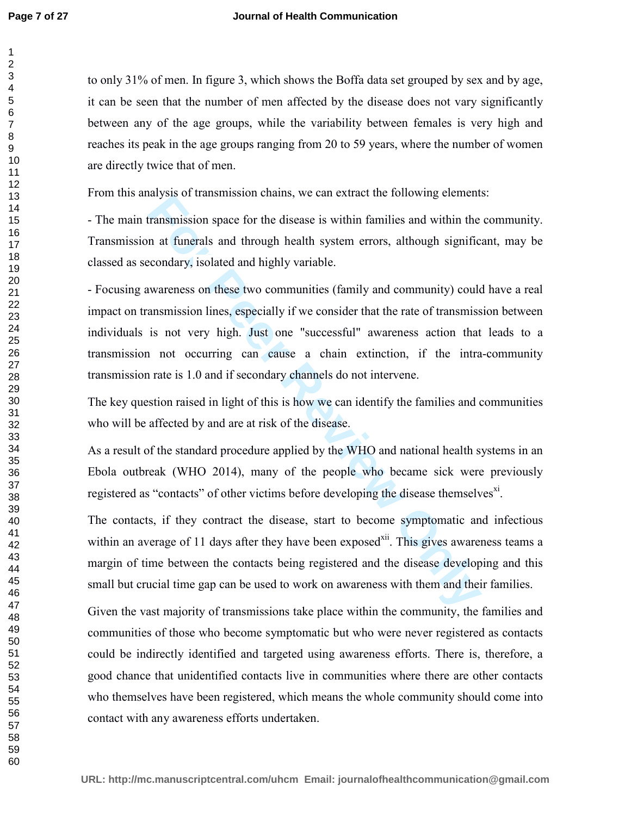to only 31% of men. In figure 3, which shows the Boffa data set grouped by sex and by age, it can be seen that the number of men affected by the disease does not vary significantly between any of the age groups, while the variability between females is very high and reaches its peak in the age groups ranging from 20 to 59 years, where the number of women are directly twice that of men.

From this analysis of transmission chains, we can extract the following elements:

- The main transmission space for the disease is within families and within the community. Transmission at funerals and through health system errors, although significant, may be classed as secondary, isolated and highly variable.

**For Perrony** anysis or dansinssion enams, we can exaded the tonowing element<br> **Fransmission space for the disease is within families and within the**<br> **n** at funerals and through health system errors, although signific<br> **E** - Focusing awareness on these two communities (family and community) could have a real impact on transmission lines, especially if we consider that the rate of transmission between individuals is not very high. Just one "successful" awareness action that leads to a transmission not occurring can cause a chain extinction, if the intra-community transmission rate is 1.0 and if secondary channels do not intervene.

The key question raised in light of this is how we can identify the families and communities who will be affected by and are at risk of the disease.

As a result of the standard procedure applied by the WHO and national health systems in an Ebola outbreak (WHO 2014), many of the people who became sick were previously registered as "contacts" of other victims before developing the disease themselves $x_i$ .

The contacts, if they contract the disease, start to become symptomatic and infectious within an average of 11 days after they have been exposed<sup>xii</sup>. This gives awareness teams a margin of time between the contacts being registered and the disease developing and this small but crucial time gap can be used to work on awareness with them and their families.

Given the vast majority of transmissions take place within the community, the families and communities of those who become symptomatic but who were never registered as contacts could be indirectly identified and targeted using awareness efforts. There is, therefore, a good chance that unidentified contacts live in communities where there are other contacts who themselves have been registered, which means the whole community should come into contact with any awareness efforts undertaken.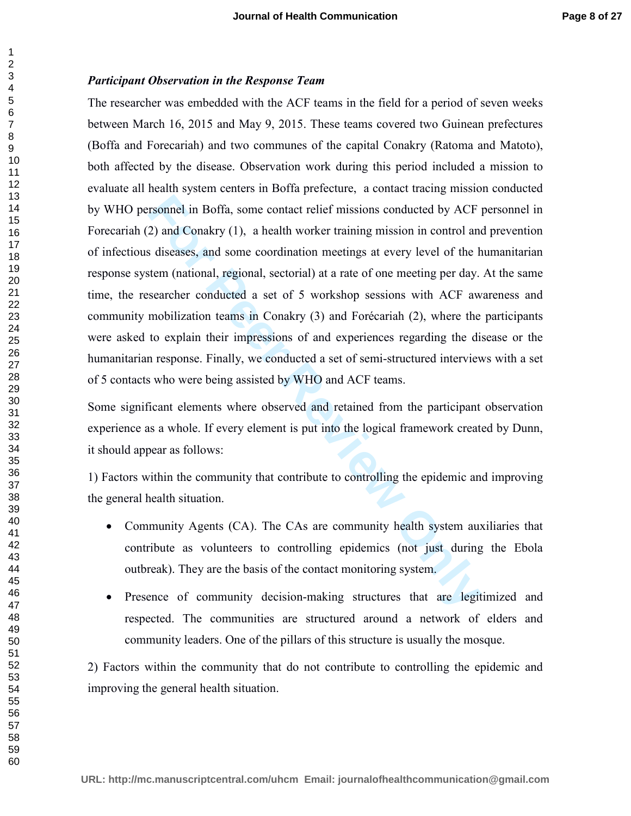#### *Participant Observation in the Response Team*

From Fourthoff and Souther the missions conducted by ACF<br>2) and Conakry (1), a health worker training mission in control and<br>s diseases, and some coordination meetings at every level of the h<br>steem (national, regional, sec The researcher was embedded with the ACF teams in the field for a period of seven weeks between March 16, 2015 and May 9, 2015. These teams covered two Guinean prefectures (Boffa and Forecariah) and two communes of the capital Conakry (Ratoma and Matoto), both affected by the disease. Observation work during this period included a mission to evaluate all health system centers in Boffa prefecture, a contact tracing mission conducted by WHO personnel in Boffa, some contact relief missions conducted by ACF personnel in Forecariah (2) and Conakry (1), a health worker training mission in control and prevention of infectious diseases, and some coordination meetings at every level of the humanitarian response system (national, regional, sectorial) at a rate of one meeting per day. At the same time, the researcher conducted a set of 5 workshop sessions with ACF awareness and community mobilization teams in Conakry (3) and Forécariah (2), where the participants were asked to explain their impressions of and experiences regarding the disease or the humanitarian response. Finally, we conducted a set of semi-structured interviews with a set of 5 contacts who were being assisted by WHO and ACF teams.

Some significant elements where observed and retained from the participant observation experience as a whole. If every element is put into the logical framework created by Dunn, it should appear as follows:

1) Factors within the community that contribute to controlling the epidemic and improving the general health situation.

- Community Agents (CA). The CAs are community health system auxiliaries that contribute as volunteers to controlling epidemics (not just during the Ebola outbreak). They are the basis of the contact monitoring system.
- Presence of community decision-making structures that are legitimized and respected. The communities are structured around a network of elders and community leaders. One of the pillars of this structure is usually the mosque.

2) Factors within the community that do not contribute to controlling the epidemic and improving the general health situation.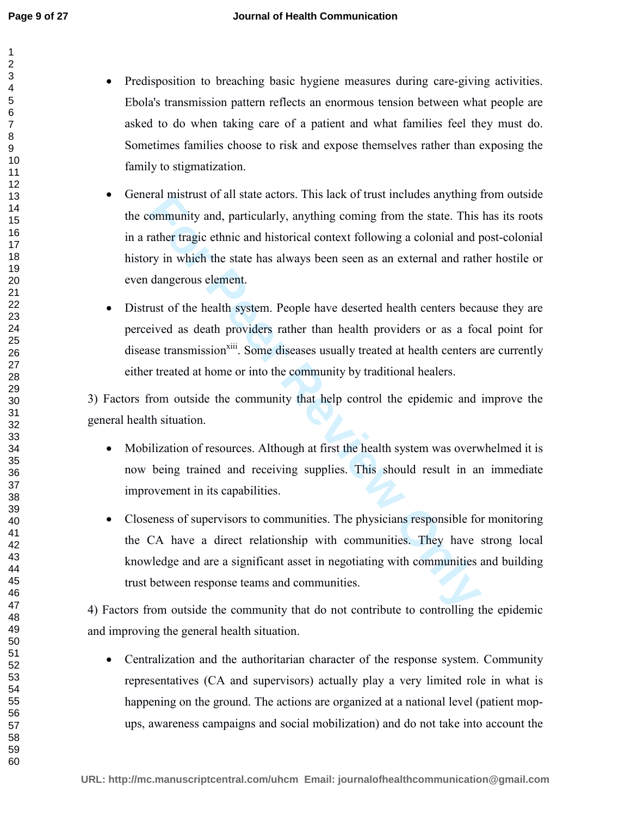- 
- Predisposition to breaching basic hygiene measures during care-giving activities. Ebola's transmission pattern reflects an enormous tension between what people are asked to do when taking care of a patient and what families feel they must do. Sometimes families choose to risk and expose themselves rather than exposing the family to stigmatization.
	- Framework of an state actors. This lack of trust includes anything in<br>community and, particularly, anything coming from the state. This<br>rather tragic ethnic and historical context following a colonial and p<br>ry in which the • General mistrust of all state actors. This lack of trust includes anything from outside the community and, particularly, anything coming from the state. This has its roots in a rather tragic ethnic and historical context following a colonial and post-colonial history in which the state has always been seen as an external and rather hostile or even dangerous element.
	- Distrust of the health system. People have deserted health centers because they are perceived as death providers rather than health providers or as a focal point for disease transmission<sup>xiii</sup>. Some diseases usually treated at health centers are currently either treated at home or into the community by traditional healers.

3) Factors from outside the community that help control the epidemic and improve the general health situation.

- Mobilization of resources. Although at first the health system was overwhelmed it is now being trained and receiving supplies. This should result in an immediate improvement in its capabilities.
- Closeness of supervisors to communities. The physicians responsible for monitoring the CA have a direct relationship with communities. They have strong local knowledge and are a significant asset in negotiating with communities and building trust between response teams and communities.

4) Factors from outside the community that do not contribute to controlling the epidemic and improving the general health situation.

• Centralization and the authoritarian character of the response system. Community representatives (CA and supervisors) actually play a very limited role in what is happening on the ground. The actions are organized at a national level (patient mopups, awareness campaigns and social mobilization) and do not take into account the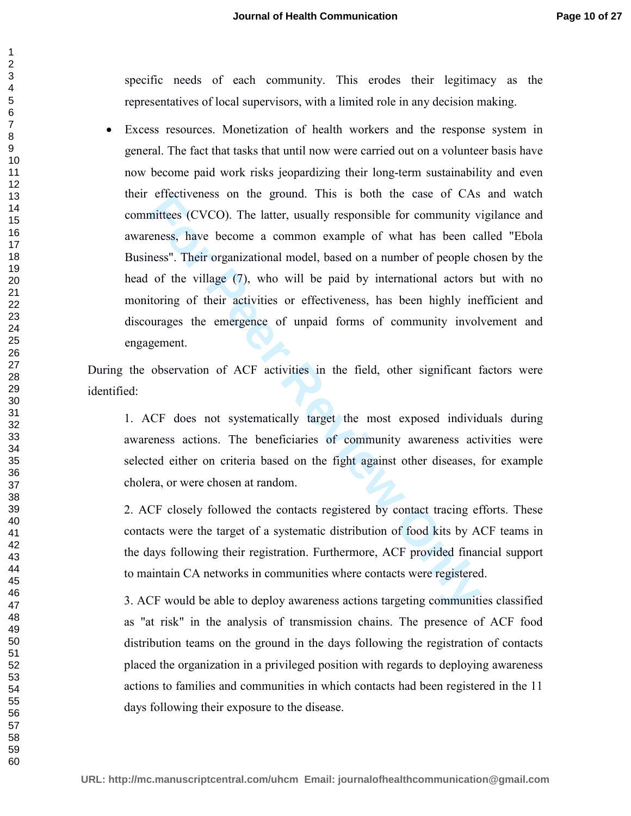specific needs of each community. This erodes their legitimacy as the representatives of local supervisors, with a limited role in any decision making.

encuveness on the gound. This is boun the case of CAS<br>mittees (CVCO). The latter, usually responsible for community v<br>eness". Their organizational model, based on a number of people cl<br>of the village (7), who will be paid • Excess resources. Monetization of health workers and the response system in general. The fact that tasks that until now were carried out on a volunteer basis have now become paid work risks jeopardizing their long-term sustainability and even their effectiveness on the ground. This is both the case of CAs and watch committees (CVCO). The latter, usually responsible for community vigilance and awareness, have become a common example of what has been called "Ebola Business". Their organizational model, based on a number of people chosen by the head of the village (7), who will be paid by international actors but with no monitoring of their activities or effectiveness, has been highly inefficient and discourages the emergence of unpaid forms of community involvement and engagement.

During the observation of ACF activities in the field, other significant factors were identified:

1. ACF does not systematically target the most exposed individuals during awareness actions. The beneficiaries of community awareness activities were selected either on criteria based on the fight against other diseases, for example cholera, or were chosen at random.

2. ACF closely followed the contacts registered by contact tracing efforts. These contacts were the target of a systematic distribution of food kits by ACF teams in the days following their registration. Furthermore, ACF provided financial support to maintain CA networks in communities where contacts were registered.

3. ACF would be able to deploy awareness actions targeting communities classified as "at risk" in the analysis of transmission chains. The presence of ACF food distribution teams on the ground in the days following the registration of contacts placed the organization in a privileged position with regards to deploying awareness actions to families and communities in which contacts had been registered in the 11 days following their exposure to the disease.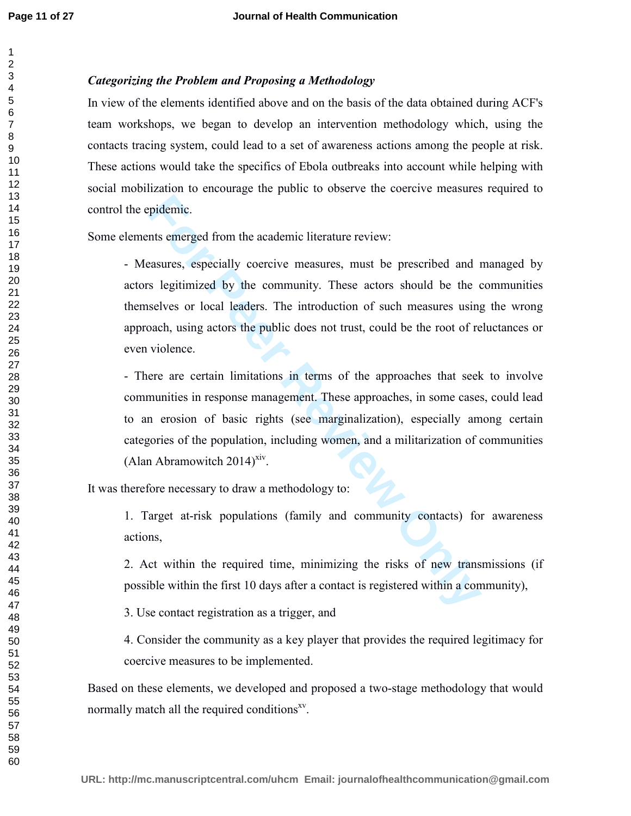# *Categorizing the Problem and Proposing a Methodology*

In view of the elements identified above and on the basis of the data obtained during ACF's team workshops, we began to develop an intervention methodology which, using the contacts tracing system, could lead to a set of awareness actions among the people at risk. These actions would take the specifics of Ebola outbreaks into account while helping with social mobilization to encourage the public to observe the coercive measures required to control the epidemic.

Some elements emerged from the academic literature review:

pidemic.<br>
Ints emerged from the academic literature review:<br> **For Peer Review Exercises** and a setter series are series and a setter series or local leaders. The introduction of such measures using<br>
acab, using actors the - Measures, especially coercive measures, must be prescribed and managed by actors legitimized by the community. These actors should be the communities themselves or local leaders. The introduction of such measures using the wrong approach, using actors the public does not trust, could be the root of reluctances or even violence.

- There are certain limitations in terms of the approaches that seek to involve communities in response management. These approaches, in some cases, could lead to an erosion of basic rights (see marginalization), especially among certain categories of the population, including women, and a militarization of communities (Alan Abramowitch  $2014$ <sup>yiv</sup>.

It was therefore necessary to draw a methodology to:

1. Target at-risk populations (family and community contacts) for awareness actions,

2. Act within the required time, minimizing the risks of new transmissions (if possible within the first 10 days after a contact is registered within a community),

3. Use contact registration as a trigger, and

4. Consider the community as a key player that provides the required legitimacy for coercive measures to be implemented.

Based on these elements, we developed and proposed a two-stage methodology that would normally match all the required conditions<sup>xv</sup>.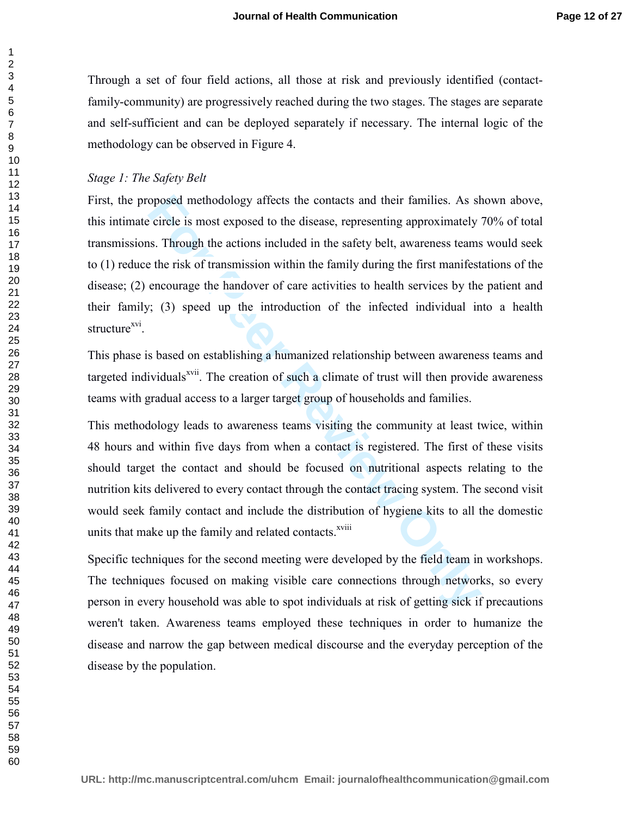Through a set of four field actions, all those at risk and previously identified (contactfamily-community) are progressively reached during the two stages. The stages are separate and self-sufficient and can be deployed separately if necessary. The internal logic of the methodology can be observed in Figure 4.

# *Stage 1: The Safety Belt*

oposed methodology affects the contacts and their families. As shever evertical is most exposed to the disease, representing approximately is. Through the actions included in the safety belt, awareness teams the risk of tr First, the proposed methodology affects the contacts and their families. As shown above, this intimate circle is most exposed to the disease, representing approximately 70% of total transmissions. Through the actions included in the safety belt, awareness teams would seek to (1) reduce the risk of transmission within the family during the first manifestations of the disease; (2) encourage the handover of care activities to health services by the patient and their family; (3) speed up the introduction of the infected individual into a health structure<sup>xvi</sup>.

This phase is based on establishing a humanized relationship between awareness teams and targeted individuals<sup> $xvii$ </sup>. The creation of such a climate of trust will then provide awareness teams with gradual access to a larger target group of households and families.

This methodology leads to awareness teams visiting the community at least twice, within 48 hours and within five days from when a contact is registered. The first of these visits should target the contact and should be focused on nutritional aspects relating to the nutrition kits delivered to every contact through the contact tracing system. The second visit would seek family contact and include the distribution of hygiene kits to all the domestic units that make up the family and related contacts.<sup>xviii</sup>

Specific techniques for the second meeting were developed by the field team in workshops. The techniques focused on making visible care connections through networks, so every person in every household was able to spot individuals at risk of getting sick if precautions weren't taken. Awareness teams employed these techniques in order to humanize the disease and narrow the gap between medical discourse and the everyday perception of the disease by the population.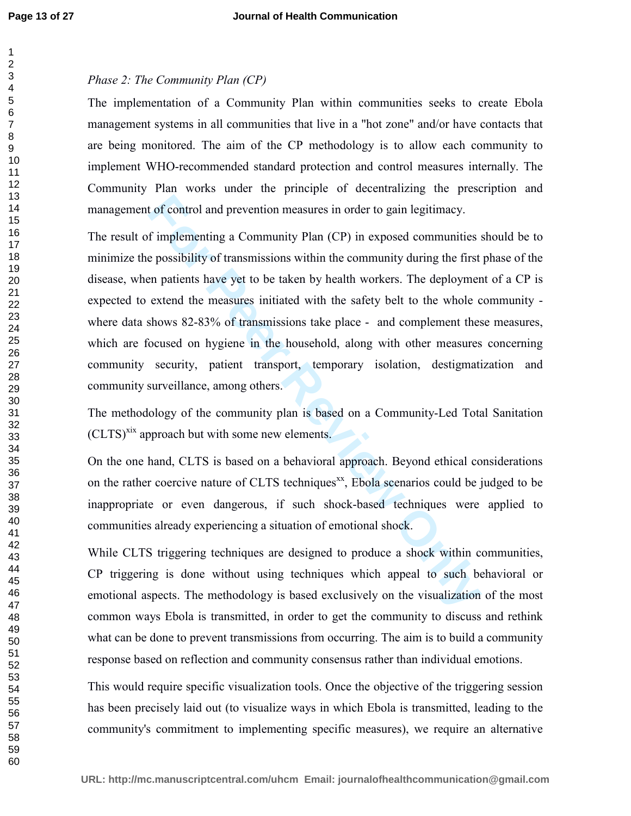# *Phase 2: The Community Plan (CP)*

The implementation of a Community Plan within communities seeks to create Ebola management systems in all communities that live in a "hot zone" and/or have contacts that are being monitored. The aim of the CP methodology is to allow each community to implement WHO-recommended standard protection and control measures internally. The Community Plan works under the principle of decentralizing the prescription and management of control and prevention measures in order to gain legitimacy.

**For Peer Review Only** The result of implementing a Community Plan (CP) in exposed communities should be to minimize the possibility of transmissions within the community during the first phase of the disease, when patients have yet to be taken by health workers. The deployment of a CP is expected to extend the measures initiated with the safety belt to the whole community where data shows 82-83% of transmissions take place - and complement these measures, which are focused on hygiene in the household, along with other measures concerning community security, patient transport, temporary isolation, destigmatization and community surveillance, among others.

The methodology of the community plan is based on a Community-Led Total Sanitation  $\text{(CLTS)}^{\text{six}}$  approach but with some new elements.

On the one hand, CLTS is based on a behavioral approach. Beyond ethical considerations on the rather coercive nature of CLTS techniques<sup>xx</sup>, Ebola scenarios could be judged to be inappropriate or even dangerous, if such shock-based techniques were applied to communities already experiencing a situation of emotional shock.

While CLTS triggering techniques are designed to produce a shock within communities, CP triggering is done without using techniques which appeal to such behavioral or emotional aspects. The methodology is based exclusively on the visualization of the most common ways Ebola is transmitted, in order to get the community to discuss and rethink what can be done to prevent transmissions from occurring. The aim is to build a community response based on reflection and community consensus rather than individual emotions.

This would require specific visualization tools. Once the objective of the triggering session has been precisely laid out (to visualize ways in which Ebola is transmitted, leading to the community's commitment to implementing specific measures), we require an alternative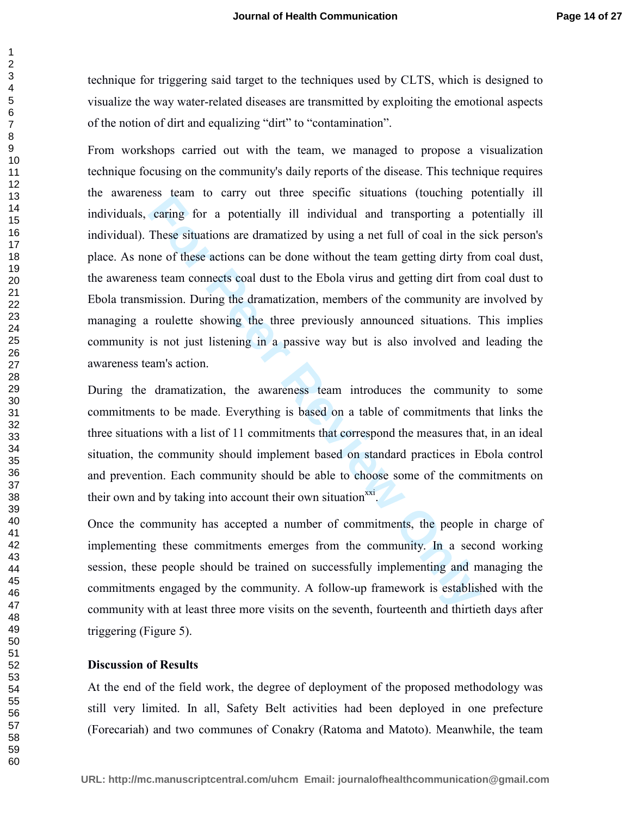technique for triggering said target to the techniques used by CLTS, which is designed to visualize the way water-related diseases are transmitted by exploiting the emotional aspects of the notion of dirt and equalizing "dirt" to "contamination".

East cann to carry out time spectric situations (touching per<br>caring for a potentially ill individual and transporting a per<br>These situations are dramatized by using a net full of coal in the s<br>me of these actions can be d From workshops carried out with the team, we managed to propose a visualization technique focusing on the community's daily reports of the disease. This technique requires the awareness team to carry out three specific situations (touching potentially ill individuals, caring for a potentially ill individual and transporting a potentially ill individual). These situations are dramatized by using a net full of coal in the sick person's place. As none of these actions can be done without the team getting dirty from coal dust, the awareness team connects coal dust to the Ebola virus and getting dirt from coal dust to Ebola transmission. During the dramatization, members of the community are involved by managing a roulette showing the three previously announced situations. This implies community is not just listening in a passive way but is also involved and leading the awareness team's action.

During the dramatization, the awareness team introduces the community to some commitments to be made. Everything is based on a table of commitments that links the three situations with a list of 11 commitments that correspond the measures that, in an ideal situation, the community should implement based on standard practices in Ebola control and prevention. Each community should be able to choose some of the commitments on their own and by taking into account their own situation $\frac{xxi}{x}$ .

Once the community has accepted a number of commitments, the people in charge of implementing these commitments emerges from the community. In a second working session, these people should be trained on successfully implementing and managing the commitments engaged by the community. A follow-up framework is established with the community with at least three more visits on the seventh, fourteenth and thirtieth days after triggering (Figure 5).

# **Discussion of Results**

At the end of the field work, the degree of deployment of the proposed methodology was still very limited. In all, Safety Belt activities had been deployed in one prefecture (Forecariah) and two communes of Conakry (Ratoma and Matoto). Meanwhile, the team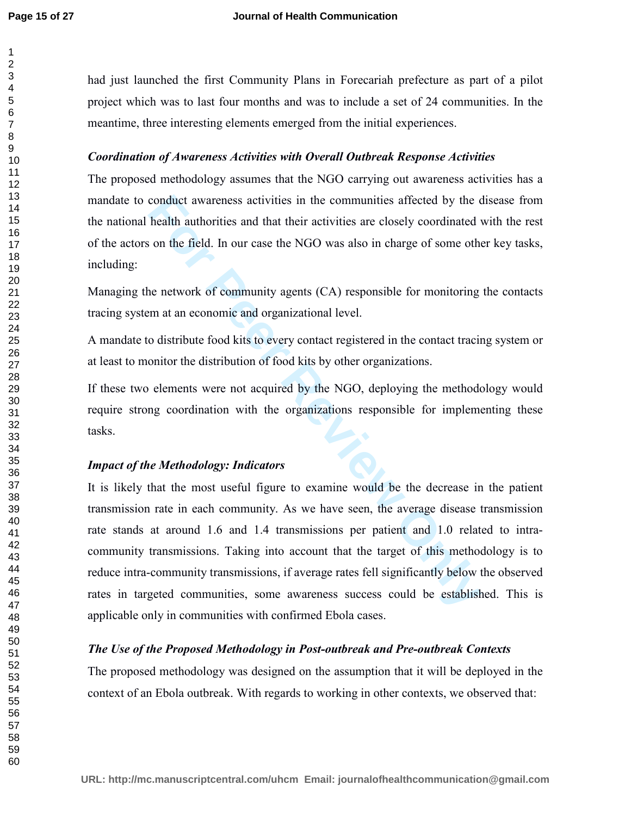had just launched the first Community Plans in Forecariah prefecture as part of a pilot project which was to last four months and was to include a set of 24 communities. In the meantime, three interesting elements emerged from the initial experiences.

# *Coordination of Awareness Activities with Overall Outbreak Response Activities*

The proposed methodology assumes that the NGO carrying out awareness activities has a mandate to conduct awareness activities in the communities affected by the disease from the national health authorities and that their activities are closely coordinated with the rest of the actors on the field. In our case the NGO was also in charge of some other key tasks, including:

Managing the network of community agents (CA) responsible for monitoring the contacts tracing system at an economic and organizational level.

A mandate to distribute food kits to every contact registered in the contact tracing system or at least to monitor the distribution of food kits by other organizations.

If these two elements were not acquired by the NGO, deploying the methodology would require strong coordination with the organizations responsible for implementing these tasks.

# *Impact of the Methodology: Indicators*

conduct awareness activities in the communities affected by the chealth authorities and that their activities are closely coordinated variant on the field. In our case the NGO was also in charge of some other activork of c It is likely that the most useful figure to examine would be the decrease in the patient transmission rate in each community. As we have seen, the average disease transmission rate stands at around 1.6 and 1.4 transmissions per patient and 1.0 related to intracommunity transmissions. Taking into account that the target of this methodology is to reduce intra-community transmissions, if average rates fell significantly below the observed rates in targeted communities, some awareness success could be established. This is applicable only in communities with confirmed Ebola cases.

# *The Use of the Proposed Methodology in Post-outbreak and Pre-outbreak Contexts*

The proposed methodology was designed on the assumption that it will be deployed in the context of an Ebola outbreak. With regards to working in other contexts, we observed that: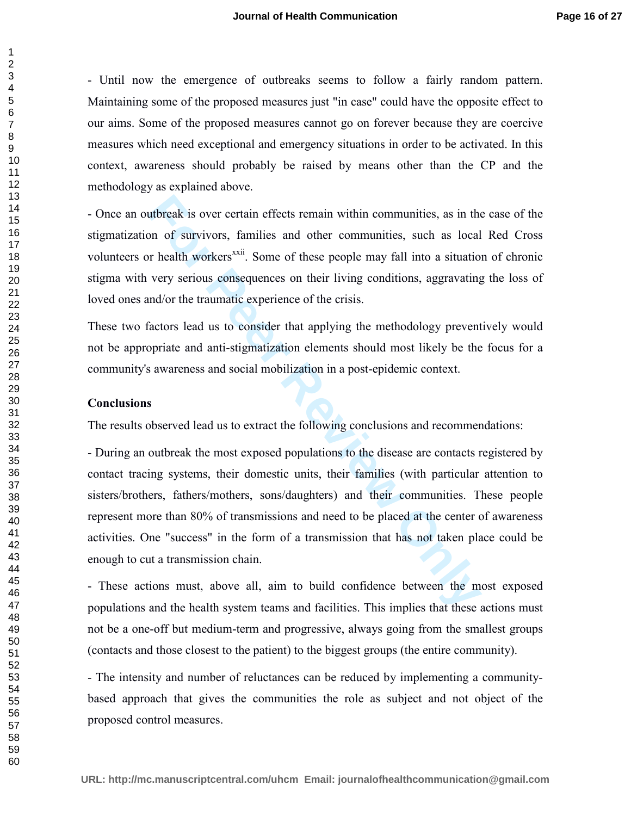- Until now the emergence of outbreaks seems to follow a fairly random pattern. Maintaining some of the proposed measures just "in case" could have the opposite effect to our aims. Some of the proposed measures cannot go on forever because they are coercive measures which need exceptional and emergency situations in order to be activated. In this context, awareness should probably be raised by means other than the CP and the methodology as explained above.

- Once an outbreak is over certain effects remain within communities, as in the case of the stigmatization of survivors, families and other communities, such as local Red Cross volunteers or health workers<sup>xxii</sup>. Some of these people may fall into a situation of chronic stigma with very serious consequences on their living conditions, aggravating the loss of loved ones and/or the traumatic experience of the crisis.

These two factors lead us to consider that applying the methodology preventively would not be appropriate and anti-stigmatization elements should most likely be the focus for a community's awareness and social mobilization in a post-epidemic context.

### **Conclusions**

The results observed lead us to extract the following conclusions and recommendations:

utbreak is over certain effects remain within communities, as in the original of survivors, families and other communities, such as local or health workers<sup>xxii</sup>. Some of these people may fall into a situatio very serious - During an outbreak the most exposed populations to the disease are contacts registered by contact tracing systems, their domestic units, their families (with particular attention to sisters/brothers, fathers/mothers, sons/daughters) and their communities. These people represent more than 80% of transmissions and need to be placed at the center of awareness activities. One "success" in the form of a transmission that has not taken place could be enough to cut a transmission chain.

- These actions must, above all, aim to build confidence between the most exposed populations and the health system teams and facilities. This implies that these actions must not be a one-off but medium-term and progressive, always going from the smallest groups (contacts and those closest to the patient) to the biggest groups (the entire community).

- The intensity and number of reluctances can be reduced by implementing a communitybased approach that gives the communities the role as subject and not object of the proposed control measures.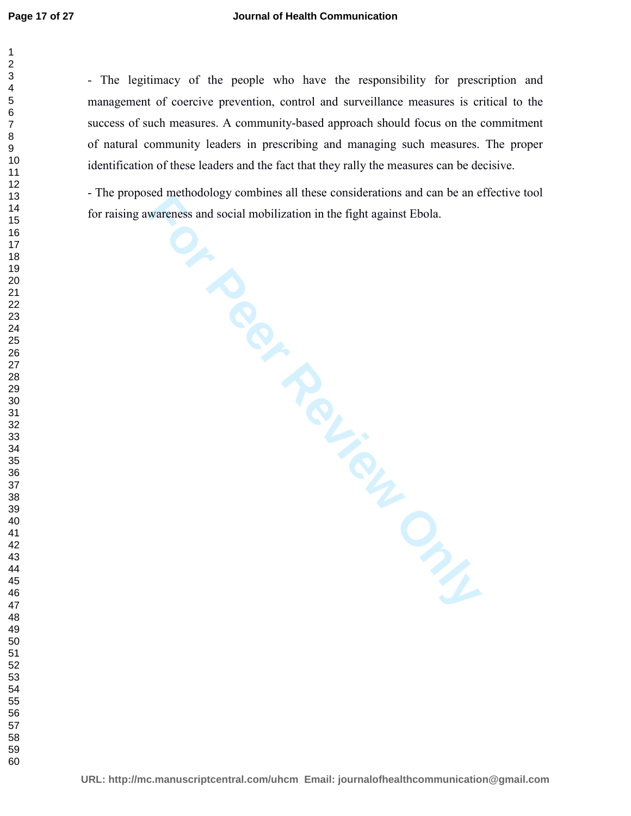- The legitimacy of the people who have the responsibility for prescription and management of coercive prevention, control and surveillance measures is critical to the success of such measures. A community-based approach should focus on the commitment of natural community leaders in prescribing and managing such measures. The proper identification of these leaders and the fact that they rally the measures can be decisive.

- The proposed methodology combines all these considerations and can be an effective tool for raising awareness and social mobilization in the fight against Ebola.

**For Personal Accords and Social mobilization in the fight against Ebola.**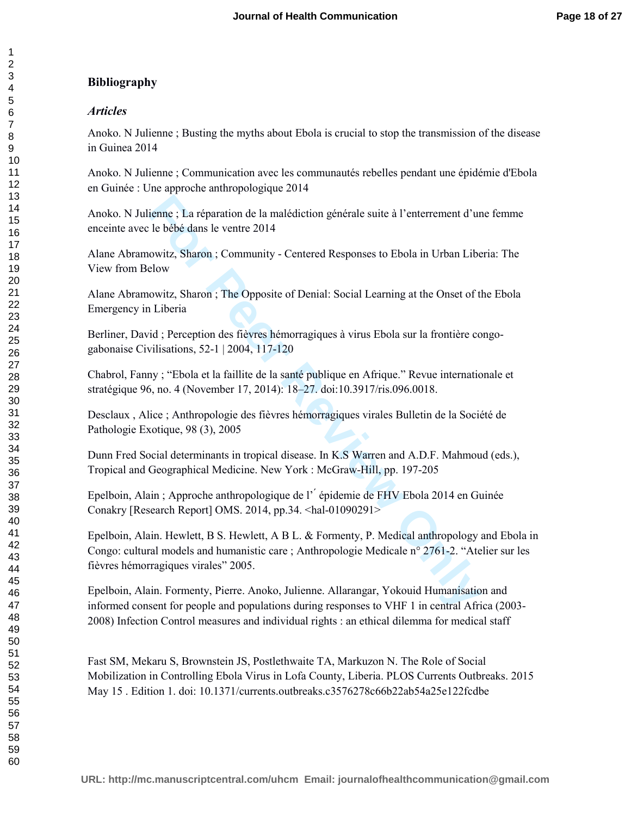# **Bibliography**

# *Articles*

Anoko. N Julienne ; Busting the myths about Ebola is crucial to stop the transmission of the disease in Guinea 2014

Anoko. N Julienne ; Communication avec les communautés rebelles pendant une épidémie d'Ebola en Guinée : Une approche anthropologique 2014

Anoko. N Julienne ; La réparation de la malédiction générale suite à l'enterrement d'une femme enceinte avec le bébé dans le ventre 2014

Alane Abramowitz, Sharon ; Community - Centered Responses to Ebola in Urban Liberia: The View from Below

Alane Abramowitz, Sharon ; The Opposite of Denial: Social Learning at the Onset of the Ebola Emergency in Liberia

Berliner, David ; Perception des fièvres hémorragiques à virus Ebola sur la frontière congogabonaise Civilisations, 52-1 | 2004, 117-120

Chabrol, Fanny ; "Ebola et la faillite de la santé publique en Afrique." Revue internationale et stratégique 96, no. 4 (November 17, 2014): 18–27. doi:10.3917/ris.096.0018.

Desclaux , Alice ; Anthropologie des fièvres hémorragiques virales Bulletin de la Société de Pathologie Exotique, 98 (3), 2005

Dunn Fred Social determinants in tropical disease. In K.S Warren and A.D.F. Mahmoud (eds.), Tropical and Geographical Medicine. New York : McGraw-Hill, pp. 197-205

Epelboin, Alain ; Approche anthropologique de l' ́ épidemie de FHV Ebola 2014 en Guinée Conakry [Research Report] OMS. 2014, pp.34. <hal-01090291>

ienne ; La réparation de la malédiction générale suite à l'enterrement d'ur<br>
1e bébé dans le ventre 2014<br>
For Peer Responses to Ebola in Urban Libe<br>
Elovetiz, Sharon ; Community - Centered Responses to Ebola in Urban Libe<br> Epelboin, Alain. Hewlett, B S. Hewlett, A B L. & Formenty, P. Medical anthropology and Ebola in Congo: cultural models and humanistic care ; Anthropologie Medicale n° 2761-2. "Atelier sur les fièvres hémorragiques virales" 2005.

Epelboin, Alain. Formenty, Pierre. Anoko, Julienne. Allarangar, Yokouid Humanisation and informed consent for people and populations during responses to VHF 1 in central Africa (2003- 2008) Infection Control measures and individual rights : an ethical dilemma for medical staff

Fast SM, Mekaru S, Brownstein JS, Postlethwaite TA, Markuzon N. The Role of Social Mobilization in Controlling Ebola Virus in Lofa County, Liberia. PLOS Currents Outbreaks. 2015 May 15 . Edition 1. doi: 10.1371/currents.outbreaks.c3576278c66b22ab54a25e122fcdbe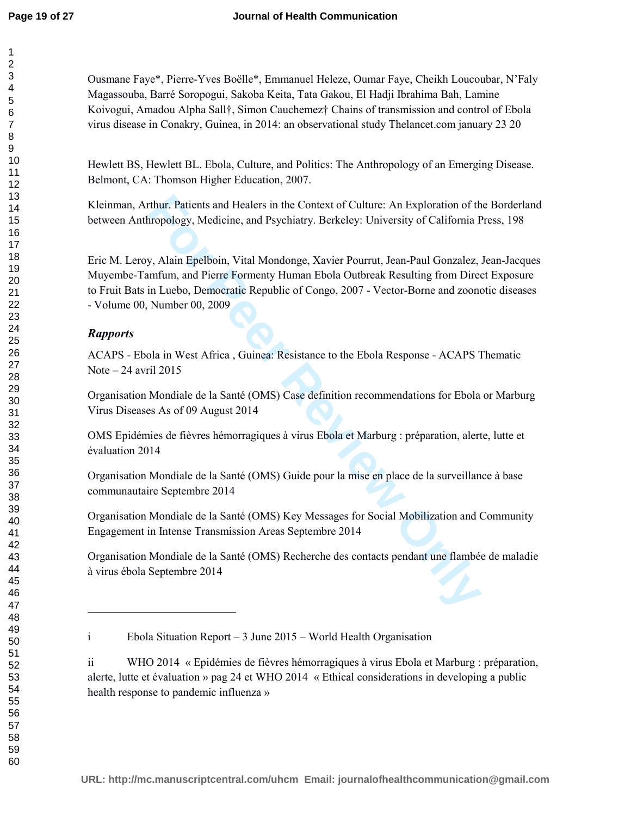Ousmane Faye\*, Pierre-Yves Boëlle\*, Emmanuel Heleze, Oumar Faye, Cheikh Loucoubar, N'Faly Magassouba, Barré Soropogui, Sakoba Keita, Tata Gakou, El Hadji Ibrahima Bah, Lamine Koivogui, Amadou Alpha Sall†, Simon Cauchemez† Chains of transmission and control of Ebola virus disease in Conakry, Guinea, in 2014: an observational study Thelancet.com january 23 20

Hewlett BS, Hewlett BL. Ebola, Culture, and Politics: The Anthropology of an Emerging Disease. Belmont, CA: Thomson Higher Education, 2007.

Kleinman, Arthur. Patients and Healers in the Context of Culture: An Exploration of the Borderland between Anthropology, Medicine, and Psychiatry. Berkeley: University of California Press, 198

Thur. Patients and Healers in the Context of Culture: An Exploration of the propology, Medicine, and Psychiatry. Berkeley: University of California P<br>
For Politicine, and Psychiatry. Berkeley: University of California P<br>
F Eric M. Leroy, Alain Epelboin, Vital Mondonge, Xavier Pourrut, Jean-Paul Gonzalez, Jean-Jacques Muyembe-Tamfum, and Pierre Formenty Human Ebola Outbreak Resulting from Direct Exposure to Fruit Bats in Luebo, Democratic Republic of Congo, 2007 - Vector-Borne and zoonotic diseases - Volume 00, Number 00, 2009

# *Rapports*

 $\overline{a}$ 

ACAPS - Ebola in West Africa , Guinea: Resistance to the Ebola Response - ACAPS Thematic Note  $-24$  avril 2015

Organisation Mondiale de la Santé (OMS) Case definition recommendations for Ebola or Marburg Virus Diseases As of 09 August 2014

OMS Epidémies de fièvres hémorragiques à virus Ebola et Marburg : préparation, alerte, lutte et évaluation 2014

Organisation Mondiale de la Santé (OMS) Guide pour la mise en place de la surveillance à base communautaire Septembre 2014

Organisation Mondiale de la Santé (OMS) Key Messages for Social Mobilization and Community Engagement in Intense Transmission Areas Septembre 2014

Organisation Mondiale de la Santé (OMS) Recherche des contacts pendant une flambée de maladie à virus ébola Septembre 2014

i Ebola Situation Report – 3 June 2015 – World Health Organisation

ii WHO 2014 « Epidémies de fièvres hémorragiques à virus Ebola et Marburg : préparation, alerte, lutte et évaluation » pag 24 et WHO 2014 « Ethical considerations in developing a public health response to pandemic influenza »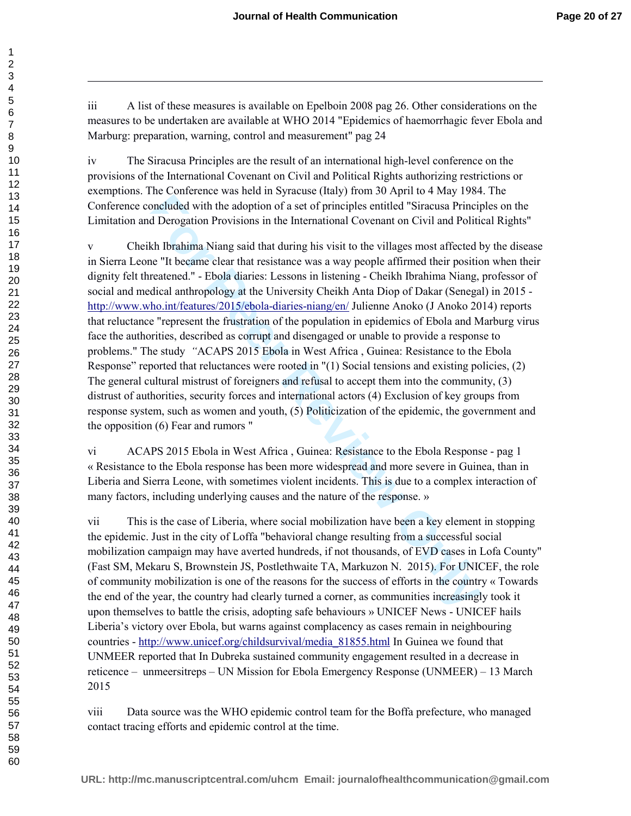iii A list of these measures is available on Epelboin 2008 pag 26. Other considerations on the measures to be undertaken are available at WHO 2014 "Epidemics of haemorrhagic fever Ebola and Marburg: preparation, warning, control and measurement" pag 24

iv The Siracusa Principles are the result of an international high-level conference on the provisions of the International Covenant on Civil and Political Rights authorizing restrictions or exemptions. The Conference was held in Syracuse (Italy) from 30 April to 4 May 1984. The Conference concluded with the adoption of a set of principles entitled "Siracusa Principles on the Limitation and Derogation Provisions in the International Covenant on Civil and Political Rights"

Intervaluant many and particular is the transmission of the control one-<br>
Included with the adoption of a set of principles entitled "Siracusa Principles<br>
Included with the adoption Provisions in the International Covenant v Cheikh Ibrahima Niang said that during his visit to the villages most affected by the disease in Sierra Leone "It became clear that resistance was a way people affirmed their position when their dignity felt threatened." - Ebola diaries: Lessons in listening - Cheikh Ibrahima Niang, professor of social and medical anthropology at the University Cheikh Anta Diop of Dakar (Senegal) in 2015 http://www.who.int/features/2015/ebola-diaries-niang/en/ Julienne Anoko (J Anoko 2014) reports that reluctance "represent the frustration of the population in epidemics of Ebola and Marburg virus face the authorities, described as corrupt and disengaged or unable to provide a response to problems." The study *"*ACAPS 2015 Ebola in West Africa , Guinea: Resistance to the Ebola Response" reported that reluctances were rooted in "(1) Social tensions and existing policies, (2) The general cultural mistrust of foreigners and refusal to accept them into the community, (3) distrust of authorities, security forces and international actors (4) Exclusion of key groups from response system, such as women and youth, (5) Politicization of the epidemic, the government and the opposition (6) Fear and rumors "

vi ACAPS 2015 Ebola in West Africa , Guinea: Resistance to the Ebola Response - pag 1 « Resistance to the Ebola response has been more widespread and more severe in Guinea, than in Liberia and Sierra Leone, with sometimes violent incidents. This is due to a complex interaction of many factors, including underlying causes and the nature of the response. »

vii This is the case of Liberia, where social mobilization have been a key element in stopping the epidemic. Just in the city of Loffa "behavioral change resulting from a successful social mobilization campaign may have averted hundreds, if not thousands, of EVD cases in Lofa County" (Fast SM, Mekaru S, Brownstein JS, Postlethwaite TA, Markuzon N. 2015). For UNICEF, the role of community mobilization is one of the reasons for the success of efforts in the country « Towards the end of the year, the country had clearly turned a corner, as communities increasingly took it upon themselves to battle the crisis, adopting safe behaviours » UNICEF News - UNICEF hails Liberia's victory over Ebola, but warns against complacency as cases remain in neighbouring countries - http://www.unicef.org/childsurvival/media\_81855.html In Guinea we found that UNMEER reported that In Dubreka sustained community engagement resulted in a decrease in reticence – unmeersitreps – UN Mission for Ebola Emergency Response (UNMEER) – 13 March 2015

viii Data source was the WHO epidemic control team for the Boffa prefecture, who managed contact tracing efforts and epidemic control at the time.

1

 $\overline{a}$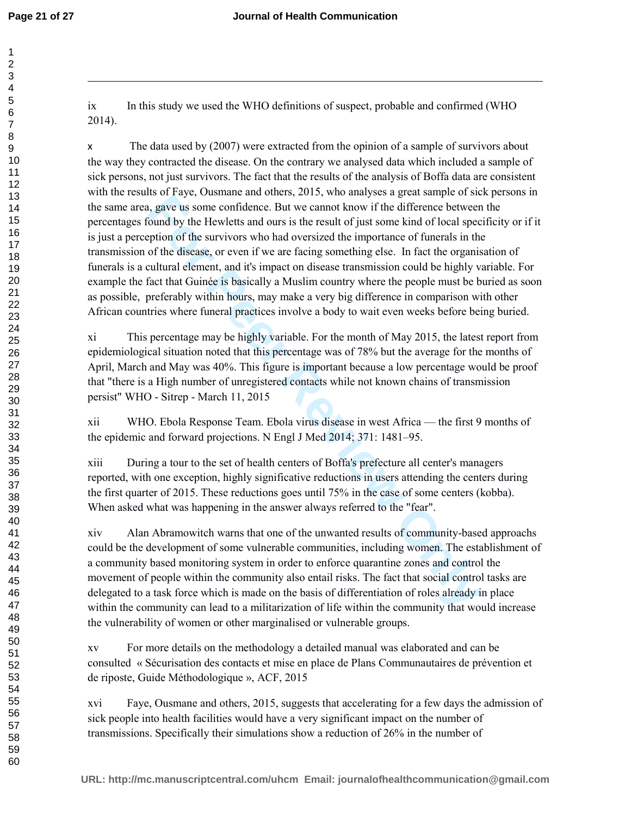$\overline{a}$ 

ix In this study we used the WHO definitions of suspect, probable and confirmed (WHO 2014).

**Ending that the during that during the controlling of the systep and the systep and the systep and the systeption of the survivers who had oversized the importance of funerals in the Hewletts and ours is the result of jus** x The data used by (2007) were extracted from the opinion of a sample of survivors about the way they contracted the disease. On the contrary we analysed data which included a sample of sick persons, not just survivors. The fact that the results of the analysis of Boffa data are consistent with the results of Faye, Ousmane and others, 2015, who analyses a great sample of sick persons in the same area, gave us some confidence. But we cannot know if the difference between the percentages found by the Hewletts and ours is the result of just some kind of local specificity or if it is just a perception of the survivors who had oversized the importance of funerals in the transmission of the disease, or even if we are facing something else. In fact the organisation of funerals is a cultural element, and it's impact on disease transmission could be highly variable. For example the fact that Guinée is basically a Muslim country where the people must be buried as soon as possible, preferably within hours, may make a very big difference in comparison with other African countries where funeral practices involve a body to wait even weeks before being buried.

xi This percentage may be highly variable. For the month of May 2015, the latest report from epidemiological situation noted that this percentage was of 78% but the average for the months of April, March and May was 40%. This figure is important because a low percentage would be proof that "there is a High number of unregistered contacts while not known chains of transmission persist" WHO - Sitrep - March 11, 2015

xii WHO. Ebola Response Team. Ebola virus disease in west Africa — the first 9 months of the epidemic and forward projections. N Engl J Med 2014; 371: 1481–95.

xiii During a tour to the set of health centers of Boffa's prefecture all center's managers reported, with one exception, highly significative reductions in users attending the centers during the first quarter of 2015. These reductions goes until 75% in the case of some centers (kobba). When asked what was happening in the answer always referred to the "fear".

xiv Alan Abramowitch warns that one of the unwanted results of community-based approachs could be the development of some vulnerable communities, including women. The establishment of a community based monitoring system in order to enforce quarantine zones and control the movement of people within the community also entail risks. The fact that social control tasks are delegated to a task force which is made on the basis of differentiation of roles already in place within the community can lead to a militarization of life within the community that would increase the vulnerability of women or other marginalised or vulnerable groups.

xv For more details on the methodology a detailed manual was elaborated and can be consulted « Sécurisation des contacts et mise en place de Plans Communautaires de prévention et de riposte, Guide Méthodologique », ACF, 2015

xvi Faye, Ousmane and others, 2015, suggests that accelerating for a few days the admission of sick people into health facilities would have a very significant impact on the number of transmissions. Specifically their simulations show a reduction of 26% in the number of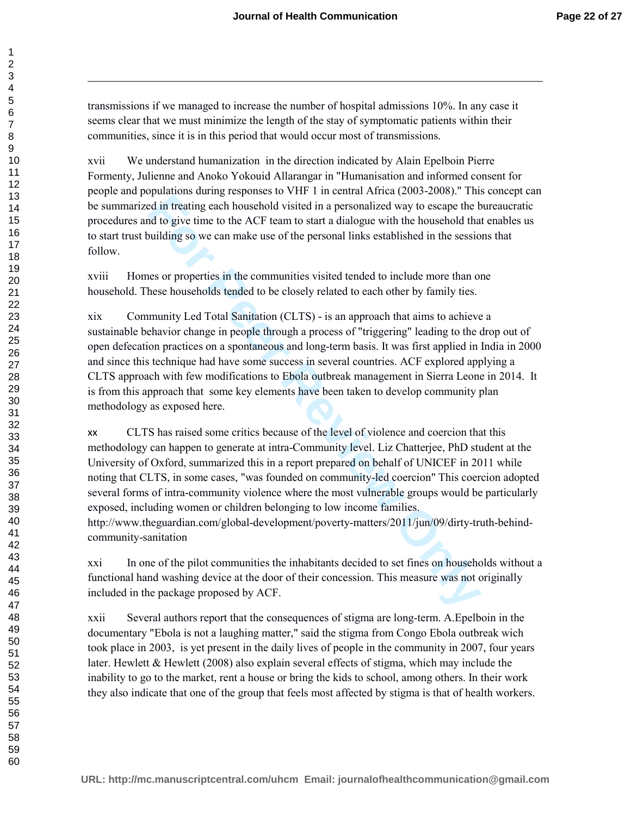transmissions if we managed to increase the number of hospital admissions 10%. In any case it seems clear that we must minimize the length of the stay of symptomatic patients within their communities, since it is in this period that would occur most of transmissions.

xvii We understand humanization in the direction indicated by Alain Epelboin Pierre Formenty, Julienne and Anoko Yokouid Allarangar in "Humanisation and informed consent for people and populations during responses to VHF 1 in central Africa (2003-2008)." This concept can be summarized in treating each household visited in a personalized way to escape the bureaucratic procedures and to give time to the ACF team to start a dialogue with the household that enables us to start trust building so we can make use of the personal links established in the sessions that follow.

xviii Homes or properties in the communities visited tended to include more than one household. These households tended to be closely related to each other by family ties.

xix Community Led Total Sanitation (CLTS) - is an approach that aims to achieve a sustainable behavior change in people through a process of "triggering" leading to the drop out of open defecation practices on a spontaneous and long-term basis. It was first applied in India in 2000 and since this technique had have some success in several countries. ACF explored applying a CLTS approach with few modifications to Ebola outbreak management in Sierra Leone in 2014. It is from this approach that some key elements have been taken to develop community plan methodology as exposed here.

premation and represention and restriction of the solution of the protocol of the protocol of the protocol of the ACF team to start a dialogue with the household that the diversion of the ACF team to start a dialogue with xx CLTS has raised some critics because of the level of violence and coercion that this methodology can happen to generate at intra-Community level. Liz Chatterjee, PhD student at the University of Oxford, summarized this in a report prepared on behalf of UNICEF in 2011 while noting that CLTS, in some cases, "was founded on community-led coercion" This coercion adopted several forms of intra-community violence where the most vulnerable groups would be particularly exposed, including women or children belonging to low income families. http://www.theguardian.com/global-development/poverty-matters/2011/jun/09/dirty-truth-behindcommunity-sanitation

xxi In one of the pilot communities the inhabitants decided to set fines on households without a functional hand washing device at the door of their concession. This measure was not originally included in the package proposed by ACF.

xxii Several authors report that the consequences of stigma are long-term. A.Epelboin in the documentary "Ebola is not a laughing matter," said the stigma from Congo Ebola outbreak wich took place in 2003, is yet present in the daily lives of people in the community in 2007, four years later. Hewlett & Hewlett (2008) also explain several effects of stigma, which may include the inability to go to the market, rent a house or bring the kids to school, among others. In their work they also indicate that one of the group that feels most affected by stigma is that of health workers.

 $\overline{a}$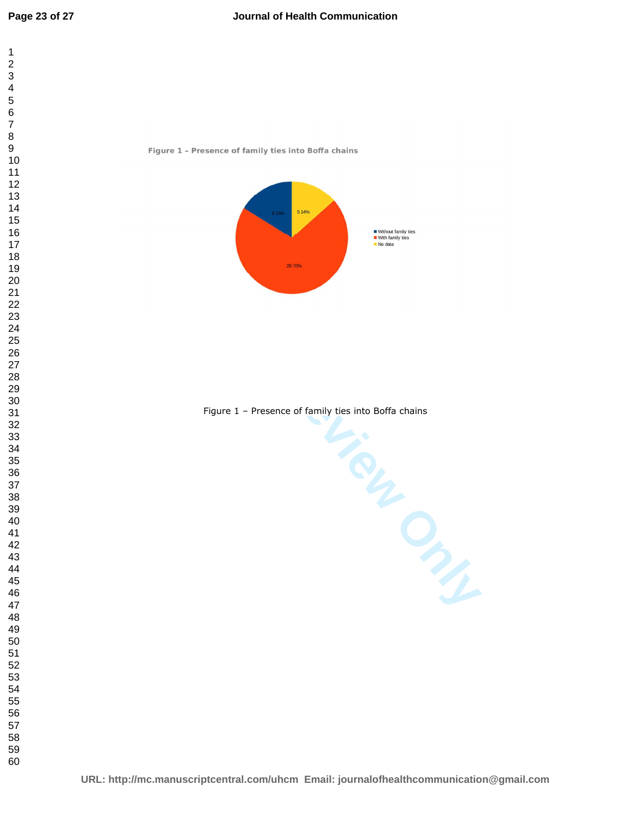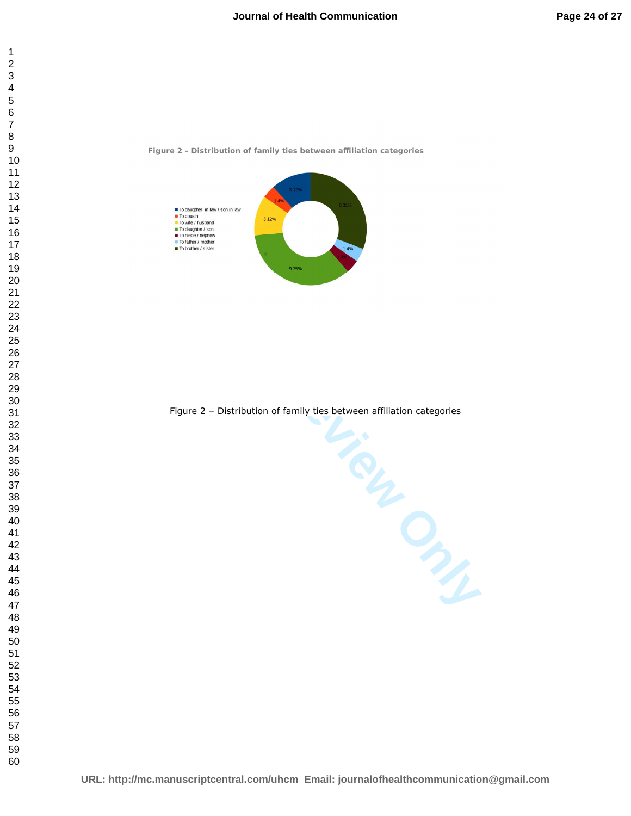





Figure 2 – Distribution of family ties between affiliation categories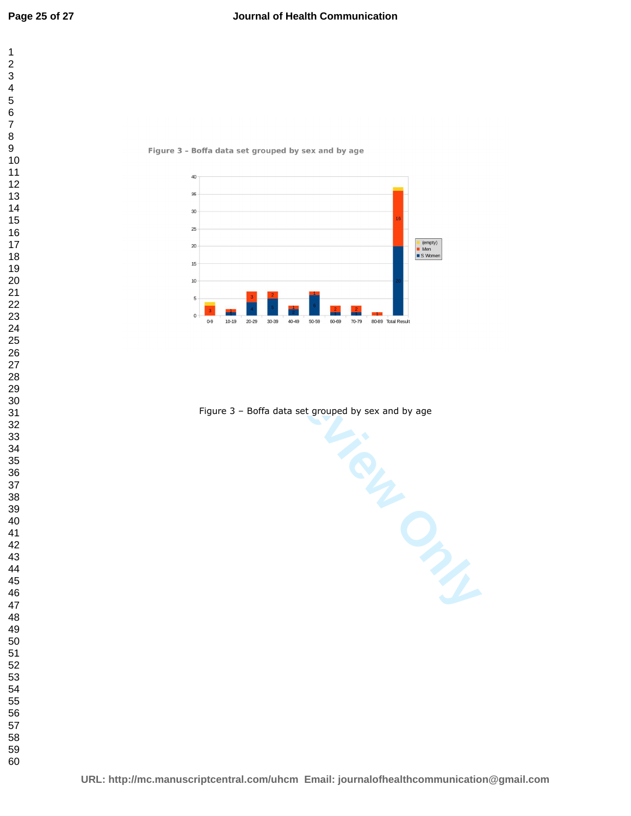





Figure 3 – Boffa data set grouped by sex and by age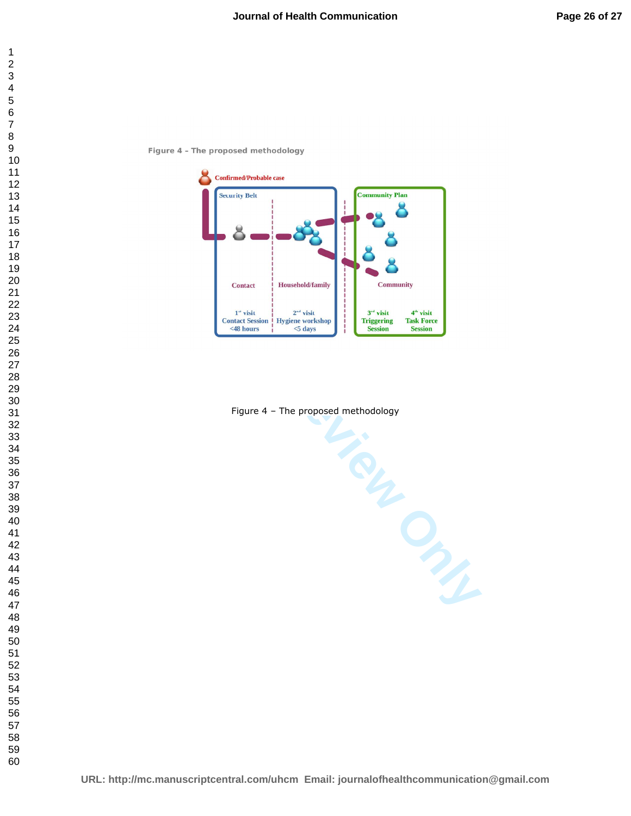



Figure 4 – The proposed methodology

**URL: http://mc.manuscriptcentral.com/uhcm Email: journalofhealthcommunication@gmail.com**